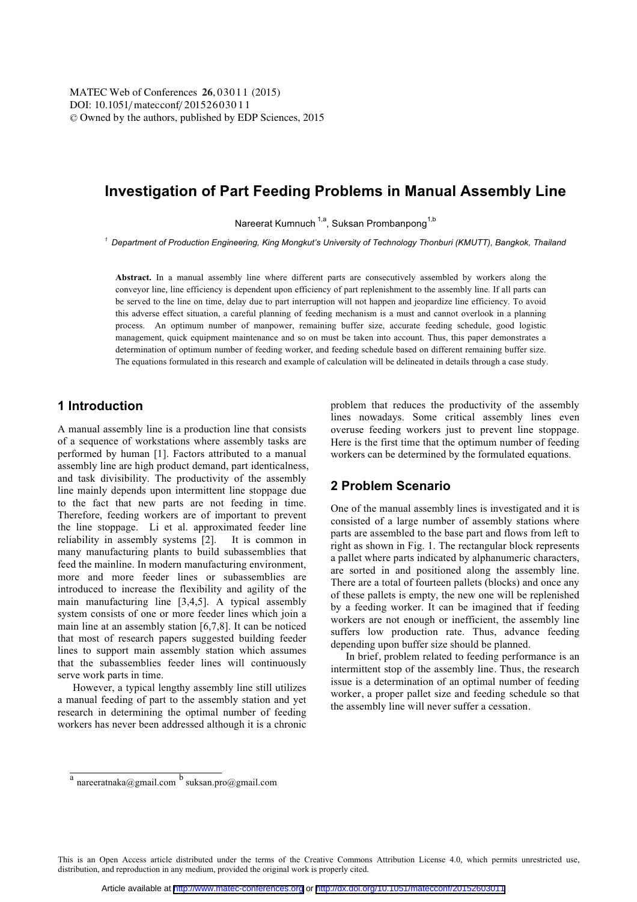# **Investigation of Part Feeding Problems in Manual Assembly Line**

Nareerat Kumnuch<sup>1,a</sup>, Suksan Prombanpong<sup>1,b</sup>

*<sup>1</sup> Department of Production Engineering, King Mongkut's University of Technology Thonburi (KMUTT), Bangkok, Thailand* 

**Abstract.** In a manual assembly line where different parts are consecutively assembled by workers along the conveyor line, line efficiency is dependent upon efficiency of part replenishment to the assembly line. If all parts can be served to the line on time, delay due to part interruption will not happen and jeopardize line efficiency. To avoid this adverse effect situation, a careful planning of feeding mechanism is a must and cannot overlook in a planning process. An optimum number of manpower, remaining buffer size, accurate feeding schedule, good logistic management, quick equipment maintenance and so on must be taken into account. Thus, this paper demonstrates a determination of optimum number of feeding worker, and feeding schedule based on different remaining buffer size. The equations formulated in this research and example of calculation will be delineated in details through a case study.

# **1 Introduction**

A manual assembly line is a production line that consists of a sequence of workstations where assembly tasks are performed by human [1]. Factors attributed to a manual assembly line are high product demand, part identicalness, and task divisibility. The productivity of the assembly line mainly depends upon intermittent line stoppage due to the fact that new parts are not feeding in time. Therefore, feeding workers are of important to prevent the line stoppage. Li et al. approximated feeder line reliability in assembly systems [2]. It is common in many manufacturing plants to build subassemblies that feed the mainline. In modern manufacturing environment, more and more feeder lines or subassemblies are introduced to increase the flexibility and agility of the main manufacturing line [3,4,5]. A typical assembly system consists of one or more feeder lines which join a main line at an assembly station [6,7,8]. It can be noticed that most of research papers suggested building feeder lines to support main assembly station which assumes that the subassemblies feeder lines will continuously serve work parts in time.

However, a typical lengthy assembly line still utilizes a manual feeding of part to the assembly station and yet research in determining the optimal number of feeding workers has never been addressed although it is a chronic problem that reduces the productivity of the assembly lines nowadays. Some critical assembly lines even overuse feeding workers just to prevent line stoppage. Here is the first time that the optimum number of feeding workers can be determined by the formulated equations.

# **2 Problem Scenario**

One of the manual assembly lines is investigated and it is consisted of a large number of assembly stations where parts are assembled to the base part and flows from left to right as shown in Fig. 1. The rectangular block represents a pallet where parts indicated by alphanumeric characters, are sorted in and positioned along the assembly line. There are a total of fourteen pallets (blocks) and once any of these pallets is empty, the new one will be replenished by a feeding worker. It can be imagined that if feeding workers are not enough or inefficient, the assembly line suffers low production rate. Thus, advance feeding depending upon buffer size should be planned.

In brief, problem related to feeding performance is an intermittent stop of the assembly line. Thus, the research issue is a determination of an optimal number of feeding worker, a proper pallet size and feeding schedule so that the assembly line will never suffer a cessation.

This is an Open Access article distributed under the terms of the Creative Commons Attribution License 4.0, which permits unrestricted use, distribution, and reproduction in any medium, provided the original work is properly cited.

 $a$  nareeratnaka@gmail.com b suksan.pro@gmail.com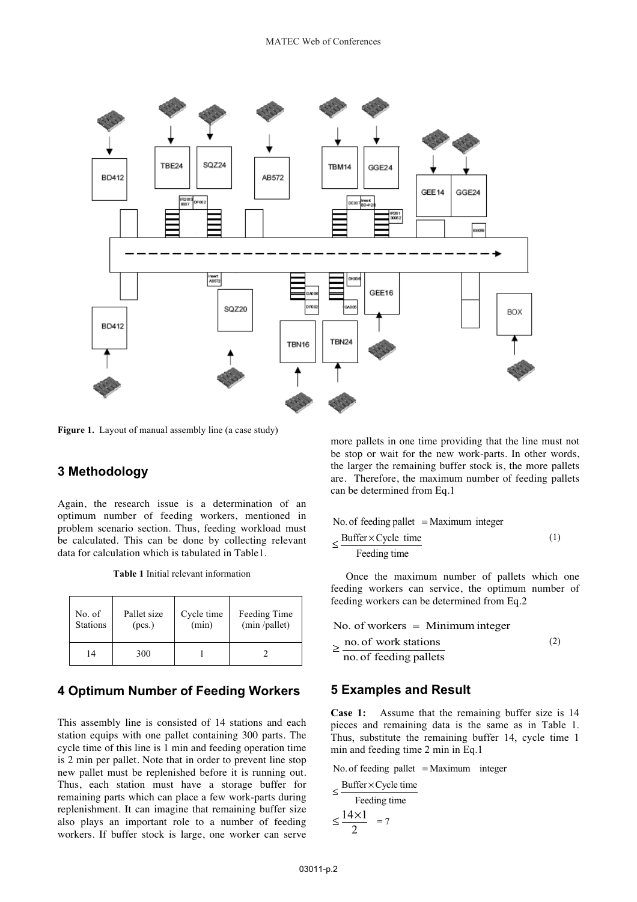

**Figure 1.** Layout of manual assembly line (a case study)

#### **3 Methodology**

Again, the research issue is a determination of an optimum number of feeding workers, mentioned in problem scenario section. Thus, feeding workload must be calculated. This can be done by collecting relevant data for calculation which is tabulated in Table1.

**Table 1** Initial relevant information

| No. of          | Pallet size | Cycle time | Feeding Time |
|-----------------|-------------|------------|--------------|
| <b>Stations</b> | (pcs.)      | (min)      | (min/pallet) |
|                 | 300         |            |              |

### **4 Optimum Number of Feeding Workers**

This assembly line is consisted of 14 stations and each station equips with one pallet containing 300 parts. The cycle time of this line is 1 min and feeding operation time is 2 min per pallet. Note that in order to prevent line stop new pallet must be replenished before it is running out. Thus, each station must have a storage buffer for remaining parts which can place a few work-parts during replenishment. It can imagine that remaining buffer size also plays an important role to a number of feeding workers. If buffer stock is large, one worker can serve more pallets in one time providing that the line must not be stop or wait for the new work-parts. In other words, the larger the remaining buffer stock is, the more pallets are. Therefore, the maximum number of feeding pallets can be determined from Eq.1

No. of feeding pellet = Maximum integer  
\n
$$
\leq \frac{\text{Buffer} \times \text{Cycle time}}{\text{Feeding time}}
$$
 (1)

Once the maximum number of pallets which one feeding workers can service, the optimum number of feeding workers can be determined from Eq.2

No. of workers = Minimum integer  
\n
$$
\geq \frac{\text{no. of work stations}}{\text{no. of feeding pellets}}
$$
 (2)

### **5 Examples and Result**

**Case 1:** Assume that the remaining buffer size is 14 pieces and remaining data is the same as in Table 1. Thus, substitute the remaining buffer 14, cycle time 1 min and feeding time 2 min in Eq.1

No. of feeding pallet  $=$  Maximum integer

$$
\leq \frac{\text{Buffer} \times \text{Cycle time}}{\text{Feeding time}}
$$

$$
\leq \frac{14 \times 1}{2} = 7
$$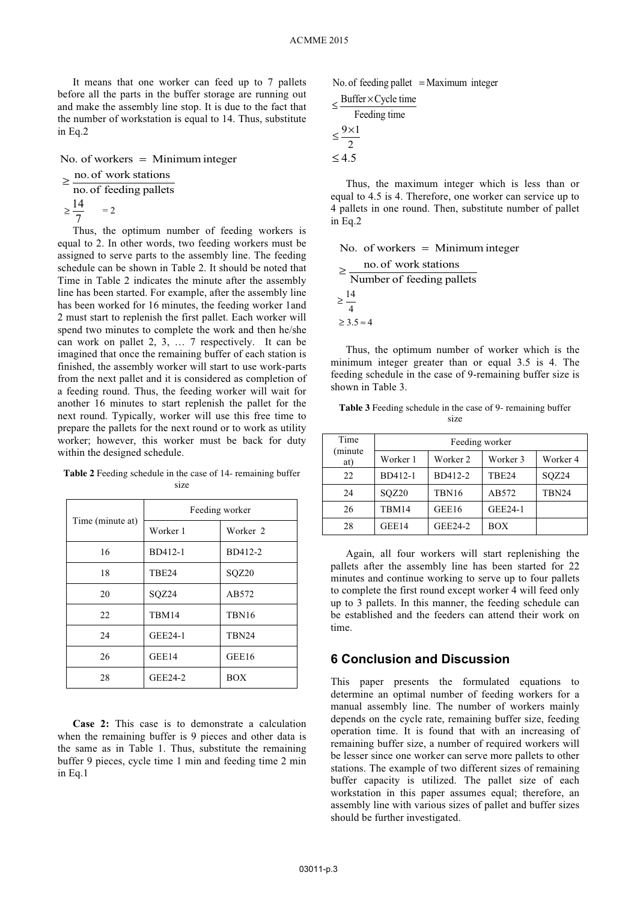It means that one worker can feed up to 7 pallets before all the parts in the buffer storage are running out and make the assembly line stop. It is due to the fact that the number of workstation is equal to 14. Thus, substitute in Eq.2

No. of workers  $=$  Minimum integer

 $\geq$  no. of work stations

Time (minute at)

no. of feeding pallets

 $\geq \frac{14}{7}$ 7  $\geq \frac{14}{7}$  = 2

Thus, the optimum number of feeding workers is equal to 2. In other words, two feeding workers must be assigned to serve parts to the assembly line. The feeding schedule can be shown in Table 2. It should be noted that Time in Table 2 indicates the minute after the assembly line has been started. For example, after the assembly line has been worked for 16 minutes, the feeding worker 1and 2 must start to replenish the first pallet. Each worker will spend two minutes to complete the work and then he/she can work on pallet 2, 3, … 7 respectively. It can be imagined that once the remaining buffer of each station is finished, the assembly worker will start to use work-parts from the next pallet and it is considered as completion of a feeding round. Thus, the feeding worker will wait for another 16 minutes to start replenish the pallet for the next round. Typically, worker will use this free time to prepare the pallets for the next round or to work as utility worker; however, this worker must be back for duty within the designed schedule.

|      | <b>Table 2</b> Feeding schedule in the case of 14- remaining buffer |
|------|---------------------------------------------------------------------|
| size |                                                                     |

16 BD412-1 BD412-2

18 TBE24 SQZ20 20 SQZ24 AB572 22 TBM14 TBN16 24 GEE24-1 | TBN24 26 GEE14 GEE16 28 GEE24-2 BOX

Feeding worker

Worker 1 Worker 2

| <b>Case 2:</b> This case is to demonstrate a calculation |
|----------------------------------------------------------|
| when the remaining buffer is 9 pieces and other data is  |
| the same as in Table 1. Thus, substitute the remaining   |
| buffer 9 pieces, cycle time 1 min and feeding time 2 min |
| in Eq.1                                                  |

No. of feeding pallet  $=$  Maximum integer

Buffer $\times$  Cycle time Feeding time  $\leq$  Buffer  $\times$  Cycle time  $9\times 1$ 2  $\leq \frac{9 \times 1}{2}$ ≤ 4.5

Thus, the maximum integer which is less than or equal to 4.5 is 4. Therefore, one worker can service up to 4 pallets in one round. Then, substitute number of pallet in Eq.2

No. of workers  $=$  Minimum integer  $\geq$  no. of work stations Number of feeding pallets  $\geq \frac{14}{4}$  $\geq$  3.5  $\approx$  4

Thus, the optimum number of worker which is the minimum integer greater than or equal 3.5 is 4. The feeding schedule in the case of 9-remaining buffer size is shown in Table 3.

| Time<br>(minute)<br>at) | Feeding worker    |                |                   |                   |
|-------------------------|-------------------|----------------|-------------------|-------------------|
|                         | Worker 1          | Worker 2       | Worker 3          | Worker 4          |
| 22                      | BD412-1           | BD412-2        | TBE <sub>24</sub> | SQZ24             |
| 24                      | SOZ <sub>20</sub> | TBN16          | AB572             | TBN <sub>24</sub> |
| 26                      | TBM14             | GEE16          | GEE24-1           |                   |
| 28                      | GEE14             | <b>GEE24-2</b> | BOX               |                   |

**Table 3** Feeding schedule in the case of 9- remaining buffer size

Again, all four workers will start replenishing the pallets after the assembly line has been started for 22 minutes and continue working to serve up to four pallets to complete the first round except worker 4 will feed only up to 3 pallets. In this manner, the feeding schedule can be established and the feeders can attend their work on time.

### **6 Conclusion and Discussion**

This paper presents the formulated equations to determine an optimal number of feeding workers for a manual assembly line. The number of workers mainly depends on the cycle rate, remaining buffer size, feeding operation time. It is found that with an increasing of remaining buffer size, a number of required workers will be lesser since one worker can serve more pallets to other stations. The example of two different sizes of remaining buffer capacity is utilized. The pallet size of each workstation in this paper assumes equal; therefore, an assembly line with various sizes of pallet and buffer sizes should be further investigated.